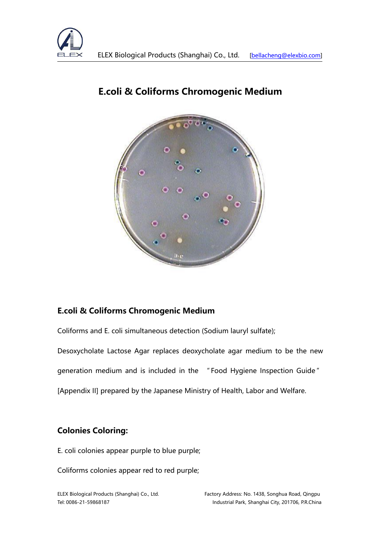



## **E.coli & Coliforms Chromogenic Medium**

### **E.coli & Coliforms Chromogenic Medium**

Coliforms and E. coli simultaneous detection (Sodium lauryl sulfate);

Desoxycholate Lactose Agar replaces deoxycholate agar medium to be the new generation medium and is included in the " Food Hygiene Inspection Guide " [Appendix II] prepared by the Japanese Ministry of Health, Labor and Welfare.

## **Colonies Coloring:**

E. coli colonies appear purple to blue purple;

Coliforms colonies appear red to red purple;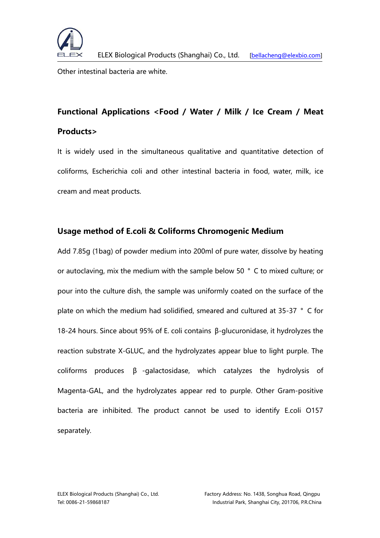

Other intestinal bacteria are white.

# **Functional Applications <Food / Water / Milk / Ice Cream / Meat Products>**

It is widely used in the simultaneous qualitative and quantitative detection of coliforms, Escherichia coli and other intestinal bacteria in food, water, milk, ice cream and meat products.

#### **Usage method of E.coli & Coliforms Chromogenic Medium**

Add 7.85g (1bag) of powder medium into 200ml of pure water, dissolve by heating or autoclaving, mix the medium with the sample below 50 ° C to mixed culture; or pour into the culture dish, the sample was uniformly coated on the surface of the plate on which the medium had solidified, smeared and cultured at 35-37 ° C for 18-24 hours. Since about 95% of E. coli contains β-glucuronidase, it hydrolyzes the reaction substrate X-GLUC, and the hydrolyzates appear blue to light purple. The coliforms produces β -galactosidase, which catalyzes the hydrolysis of Magenta-GAL, and the hydrolyzates appear red to purple. Other Gram-positive bacteria are inhibited. The product cannot be used to identify E.coli O157 separately.